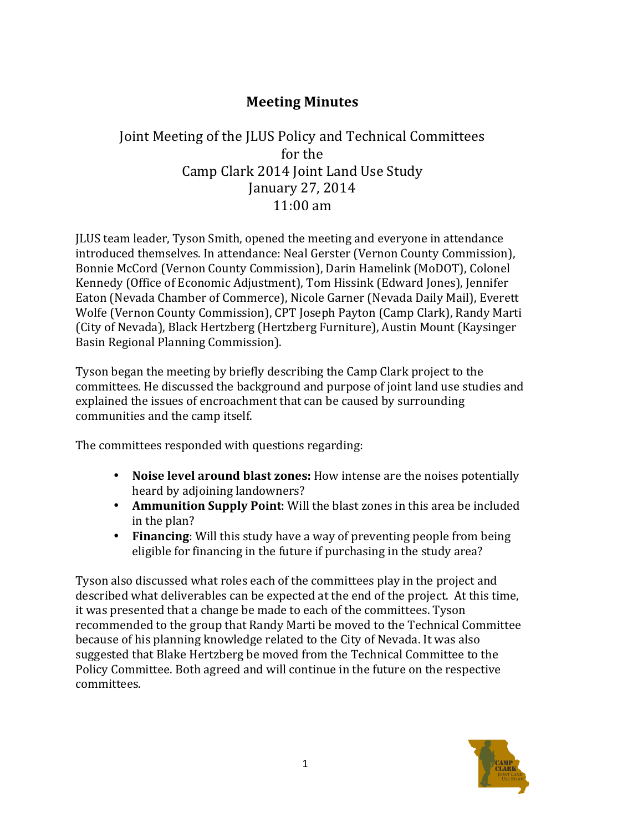## **Meeting Minutes**

## Joint Meeting of the JLUS Policy and Technical Committees for the Camp Clark 2014 Joint Land Use Study January 27, 2014  $11:00$  am

JLUS team leader, Tyson Smith, opened the meeting and everyone in attendance introduced themselves. In attendance: Neal Gerster (Vernon County Commission), Bonnie McCord (Vernon County Commission), Darin Hamelink (MoDOT), Colonel Kennedy (Office of Economic Adjustment), Tom Hissink (Edward Jones), Jennifer Eaton (Nevada Chamber of Commerce), Nicole Garner (Nevada Daily Mail), Everett Wolfe (Vernon County Commission), CPT Joseph Payton (Camp Clark), Randy Marti (City of Nevada), Black Hertzberg (Hertzberg Furniture), Austin Mount (Kaysinger Basin Regional Planning Commission).

Tyson began the meeting by briefly describing the Camp Clark project to the committees. He discussed the background and purpose of joint land use studies and explained the issues of encroachment that can be caused by surrounding communities and the camp itself.

The committees responded with questions regarding:

- **Noise level around blast zones:** How intense are the noises potentially heard by adjoining landowners?
- **Ammunition Supply Point**: Will the blast zones in this area be included in the plan?
- Financing: Will this study have a way of preventing people from being eligible for financing in the future if purchasing in the study area?

Tyson also discussed what roles each of the committees play in the project and described what deliverables can be expected at the end of the project. At this time, it was presented that a change be made to each of the committees. Tyson recommended to the group that Randy Marti be moved to the Technical Committee because of his planning knowledge related to the City of Nevada. It was also suggested that Blake Hertzberg be moved from the Technical Committee to the Policy Committee. Both agreed and will continue in the future on the respective committees.